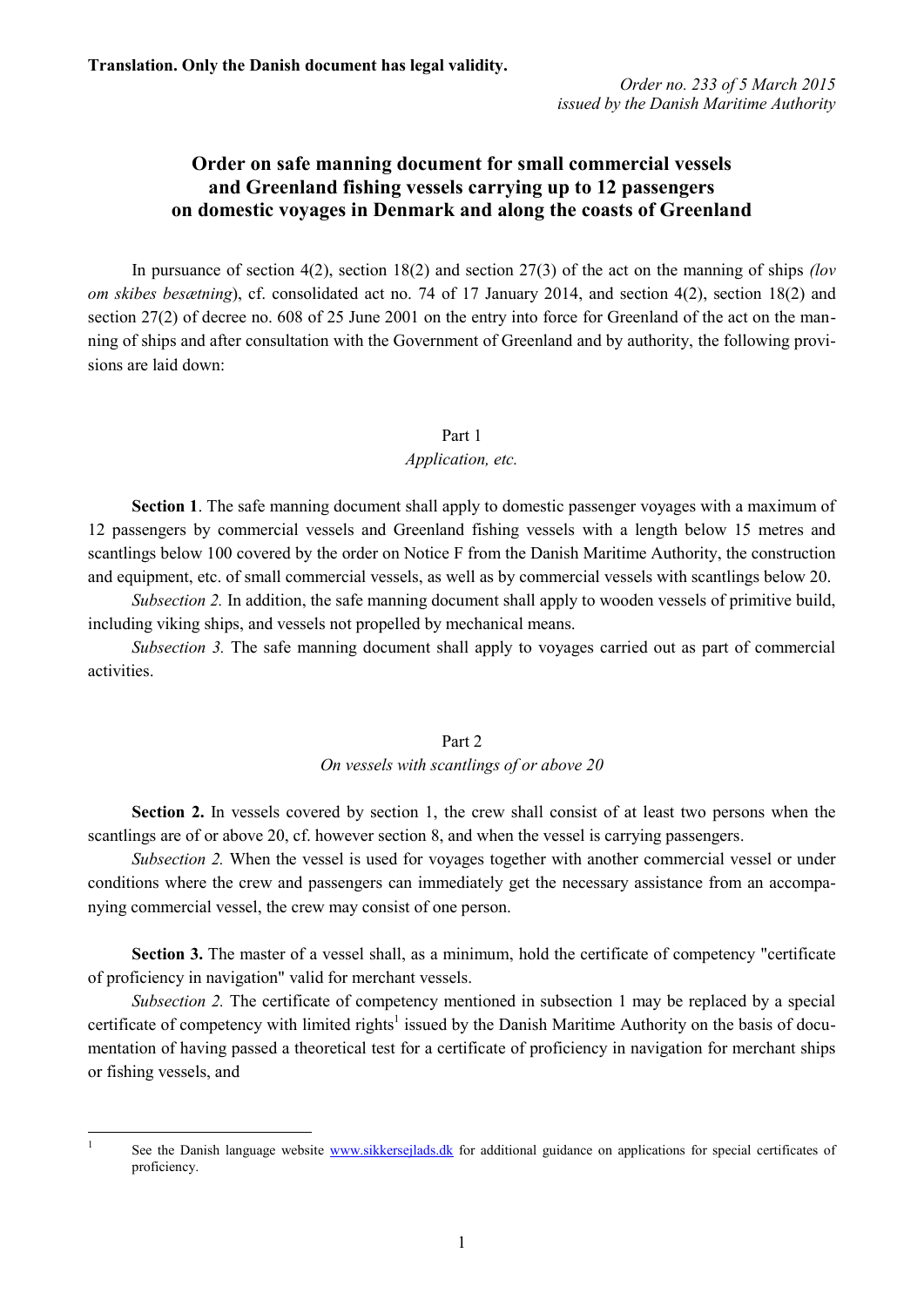*Order no. 233 of 5 March 2015 issued by the Danish Maritime Authority*

# **Order on safe manning document for small commercial vessels and Greenland fishing vessels carrying up to 12 passengers on domestic voyages in Denmark and along the coasts of Greenland**

In pursuance of section 4(2), section 18(2) and section 27(3) of the act on the manning of ships *(lov om skibes besætning*), cf. consolidated act no. 74 of 17 January 2014, and section 4(2), section 18(2) and section 27(2) of decree no. 608 of 25 June 2001 on the entry into force for Greenland of the act on the manning of ships and after consultation with the Government of Greenland and by authority, the following provisions are laid down:

#### Part 1

#### *Application, etc.*

**Section 1**. The safe manning document shall apply to domestic passenger voyages with a maximum of 12 passengers by commercial vessels and Greenland fishing vessels with a length below 15 metres and scantlings below 100 covered by the order on Notice F from the Danish Maritime Authority, the construction and equipment, etc. of small commercial vessels, as well as by commercial vessels with scantlings below 20.

*Subsection 2.* In addition, the safe manning document shall apply to wooden vessels of primitive build, including viking ships, and vessels not propelled by mechanical means.

*Subsection 3.* The safe manning document shall apply to voyages carried out as part of commercial activities.

### Part 2

## *On vessels with scantlings of or above 20*

**Section 2.** In vessels covered by section 1, the crew shall consist of at least two persons when the scantlings are of or above 20, cf. however section 8, and when the vessel is carrying passengers.

*Subsection 2.* When the vessel is used for voyages together with another commercial vessel or under conditions where the crew and passengers can immediately get the necessary assistance from an accompanying commercial vessel, the crew may consist of one person.

**Section 3.** The master of a vessel shall, as a minimum, hold the certificate of competency "certificate of proficiency in navigation" valid for merchant vessels.

*Subsection 2.* The certificate of competency mentioned in subsection 1 may be replaced by a special certificate of competency with limited rights<sup>1</sup> issued by the Danish Maritime Authority on the basis of documentation of having passed a theoretical test for a certificate of proficiency in navigation for merchant ships or fishing vessels, and

 $\frac{1}{1}$ 

See the Danish language website [www.sikkersejlads.dk](http://www.sikkersejlads.dk/) for additional guidance on applications for special certificates of proficiency.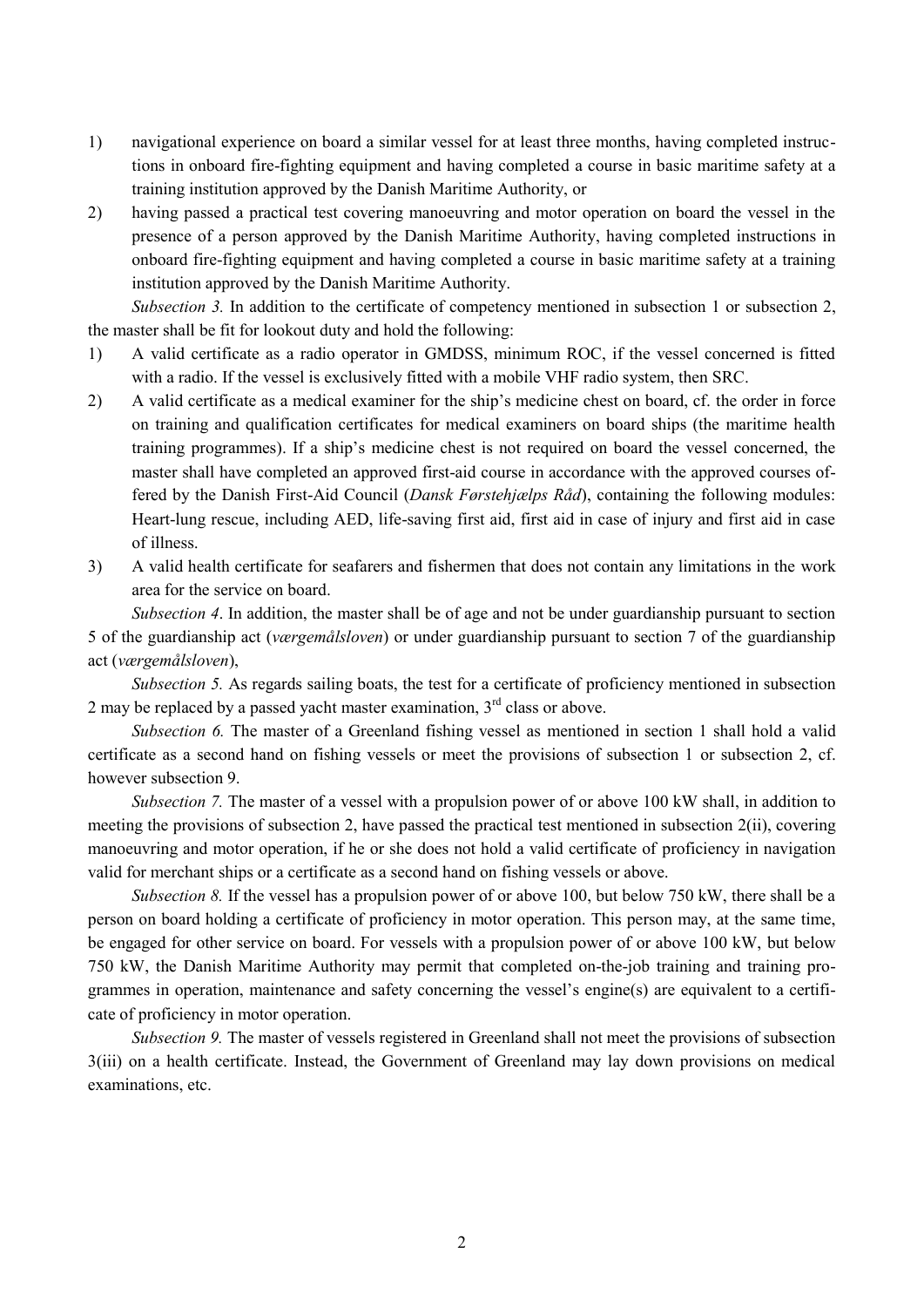- 1) navigational experience on board a similar vessel for at least three months, having completed instructions in onboard fire-fighting equipment and having completed a course in basic maritime safety at a training institution approved by the Danish Maritime Authority, or
- 2) having passed a practical test covering manoeuvring and motor operation on board the vessel in the presence of a person approved by the Danish Maritime Authority, having completed instructions in onboard fire-fighting equipment and having completed a course in basic maritime safety at a training institution approved by the Danish Maritime Authority.

*Subsection 3.* In addition to the certificate of competency mentioned in subsection 1 or subsection 2, the master shall be fit for lookout duty and hold the following:

- 1) A valid certificate as a radio operator in GMDSS, minimum ROC, if the vessel concerned is fitted with a radio. If the vessel is exclusively fitted with a mobile VHF radio system, then SRC.
- 2) A valid certificate as a medical examiner for the ship's medicine chest on board, cf. the order in force on training and qualification certificates for medical examiners on board ships (the maritime health training programmes). If a ship's medicine chest is not required on board the vessel concerned, the master shall have completed an approved first-aid course in accordance with the approved courses offered by the Danish First-Aid Council (*Dansk Førstehjælps Råd*), containing the following modules: Heart-lung rescue, including AED, life-saving first aid, first aid in case of injury and first aid in case of illness.
- 3) A valid health certificate for seafarers and fishermen that does not contain any limitations in the work area for the service on board.

*Subsection 4*. In addition, the master shall be of age and not be under guardianship pursuant to section 5 of the guardianship act (*værgemålsloven*) or under guardianship pursuant to section 7 of the guardianship act (*værgemålsloven*),

*Subsection 5.* As regards sailing boats, the test for a certificate of proficiency mentioned in subsection 2 may be replaced by a passed yacht master examination,  $3<sup>rd</sup>$  class or above.

*Subsection 6.* The master of a Greenland fishing vessel as mentioned in section 1 shall hold a valid certificate as a second hand on fishing vessels or meet the provisions of subsection 1 or subsection 2, cf. however subsection 9.

*Subsection 7.* The master of a vessel with a propulsion power of or above 100 kW shall, in addition to meeting the provisions of subsection 2, have passed the practical test mentioned in subsection 2(ii), covering manoeuvring and motor operation, if he or she does not hold a valid certificate of proficiency in navigation valid for merchant ships or a certificate as a second hand on fishing vessels or above.

*Subsection 8.* If the vessel has a propulsion power of or above 100, but below 750 kW, there shall be a person on board holding a certificate of proficiency in motor operation. This person may, at the same time, be engaged for other service on board. For vessels with a propulsion power of or above 100 kW, but below 750 kW, the Danish Maritime Authority may permit that completed on-the-job training and training programmes in operation, maintenance and safety concerning the vessel's engine(s) are equivalent to a certificate of proficiency in motor operation.

*Subsection 9.* The master of vessels registered in Greenland shall not meet the provisions of subsection 3(iii) on a health certificate. Instead, the Government of Greenland may lay down provisions on medical examinations, etc.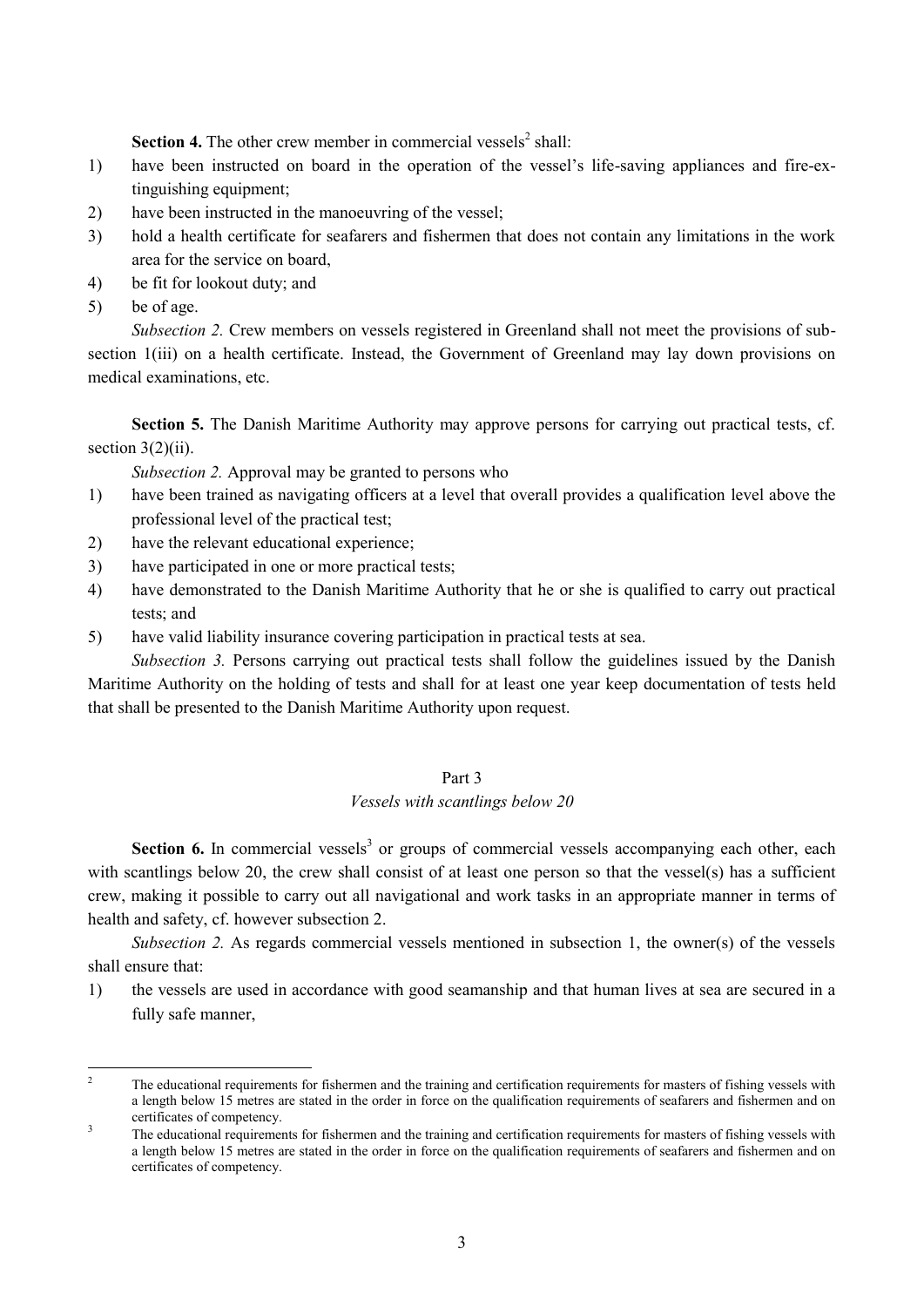**Section 4.** The other crew member in commercial vessels<sup>2</sup> shall:

- 1) have been instructed on board in the operation of the vessel's life-saving appliances and fire-extinguishing equipment;
- 2) have been instructed in the manoeuvring of the vessel;
- 3) hold a health certificate for seafarers and fishermen that does not contain any limitations in the work area for the service on board,
- 4) be fit for lookout duty; and
- 5) be of age.

*Subsection 2.* Crew members on vessels registered in Greenland shall not meet the provisions of subsection 1(iii) on a health certificate. Instead, the Government of Greenland may lay down provisions on medical examinations, etc.

**Section 5.** The Danish Maritime Authority may approve persons for carrying out practical tests, cf. section  $3(2)(ii)$ .

*Subsection 2.* Approval may be granted to persons who

- 1) have been trained as navigating officers at a level that overall provides a qualification level above the professional level of the practical test;
- 2) have the relevant educational experience;
- 3) have participated in one or more practical tests;
- 4) have demonstrated to the Danish Maritime Authority that he or she is qualified to carry out practical tests; and
- 5) have valid liability insurance covering participation in practical tests at sea.

*Subsection 3.* Persons carrying out practical tests shall follow the guidelines issued by the Danish Maritime Authority on the holding of tests and shall for at least one year keep documentation of tests held that shall be presented to the Danish Maritime Authority upon request.

### Part 3

#### *Vessels with scantlings below 20*

Section 6. In commercial vessels<sup>3</sup> or groups of commercial vessels accompanying each other, each with scantlings below 20, the crew shall consist of at least one person so that the vessel(s) has a sufficient crew, making it possible to carry out all navigational and work tasks in an appropriate manner in terms of health and safety, cf. however subsection 2.

*Subsection 2.* As regards commercial vessels mentioned in subsection 1, the owner(s) of the vessels shall ensure that:

1) the vessels are used in accordance with good seamanship and that human lives at sea are secured in a fully safe manner,

 $\sqrt{2}$ <sup>2</sup> The educational requirements for fishermen and the training and certification requirements for masters of fishing vessels with a length below 15 metres are stated in the order in force on the qualification requirements of seafarers and fishermen and on certificates of competency. 3

The educational requirements for fishermen and the training and certification requirements for masters of fishing vessels with a length below 15 metres are stated in the order in force on the qualification requirements of seafarers and fishermen and on certificates of competency.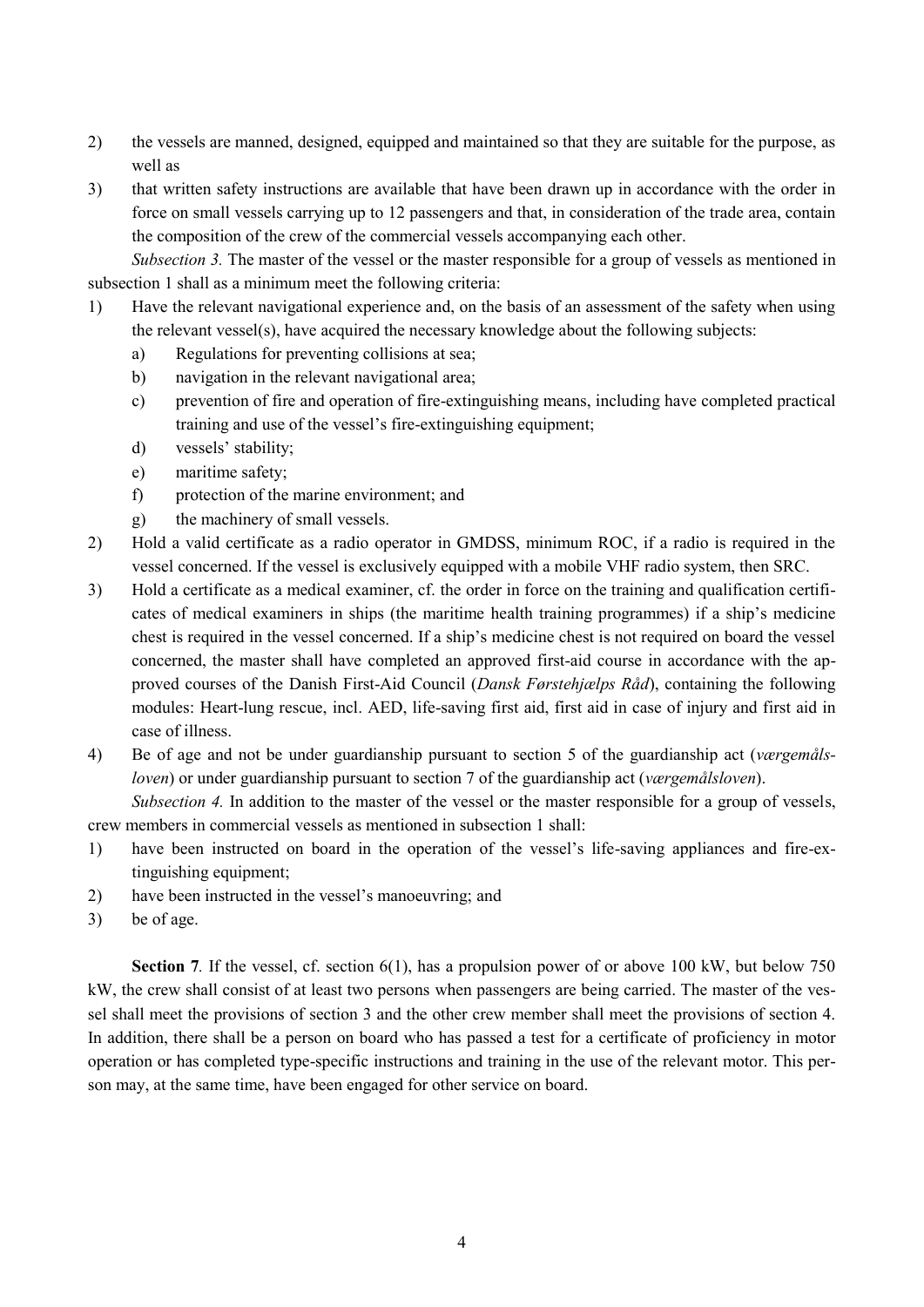- 2) the vessels are manned, designed, equipped and maintained so that they are suitable for the purpose, as well as
- 3) that written safety instructions are available that have been drawn up in accordance with the order in force on small vessels carrying up to 12 passengers and that, in consideration of the trade area, contain the composition of the crew of the commercial vessels accompanying each other.

*Subsection 3.* The master of the vessel or the master responsible for a group of vessels as mentioned in subsection 1 shall as a minimum meet the following criteria:

- 1) Have the relevant navigational experience and, on the basis of an assessment of the safety when using the relevant vessel(s), have acquired the necessary knowledge about the following subjects:
	- a) Regulations for preventing collisions at sea;
	- b) navigation in the relevant navigational area;
	- c) prevention of fire and operation of fire-extinguishing means, including have completed practical training and use of the vessel's fire-extinguishing equipment;
	- d) vessels' stability;
	- e) maritime safety;
	- f) protection of the marine environment; and
	- g) the machinery of small vessels.
- 2) Hold a valid certificate as a radio operator in GMDSS, minimum ROC, if a radio is required in the vessel concerned. If the vessel is exclusively equipped with a mobile VHF radio system, then SRC.
- 3) Hold a certificate as a medical examiner, cf. the order in force on the training and qualification certificates of medical examiners in ships (the maritime health training programmes) if a ship's medicine chest is required in the vessel concerned. If a ship's medicine chest is not required on board the vessel concerned, the master shall have completed an approved first-aid course in accordance with the approved courses of the Danish First-Aid Council (*Dansk Førstehjælps Råd*), containing the following modules: Heart-lung rescue, incl. AED, life-saving first aid, first aid in case of injury and first aid in case of illness.
- 4) Be of age and not be under guardianship pursuant to section 5 of the guardianship act (*værgemålsloven*) or under guardianship pursuant to section 7 of the guardianship act (*værgemålsloven*).

*Subsection 4.* In addition to the master of the vessel or the master responsible for a group of vessels, crew members in commercial vessels as mentioned in subsection 1 shall:

- 1) have been instructed on board in the operation of the vessel's life-saving appliances and fire-extinguishing equipment;
- 2) have been instructed in the vessel's manoeuvring; and
- 3) be of age.

**Section 7***.* If the vessel, cf. section 6(1), has a propulsion power of or above 100 kW, but below 750 kW, the crew shall consist of at least two persons when passengers are being carried. The master of the vessel shall meet the provisions of section 3 and the other crew member shall meet the provisions of section 4. In addition, there shall be a person on board who has passed a test for a certificate of proficiency in motor operation or has completed type-specific instructions and training in the use of the relevant motor. This person may, at the same time, have been engaged for other service on board.